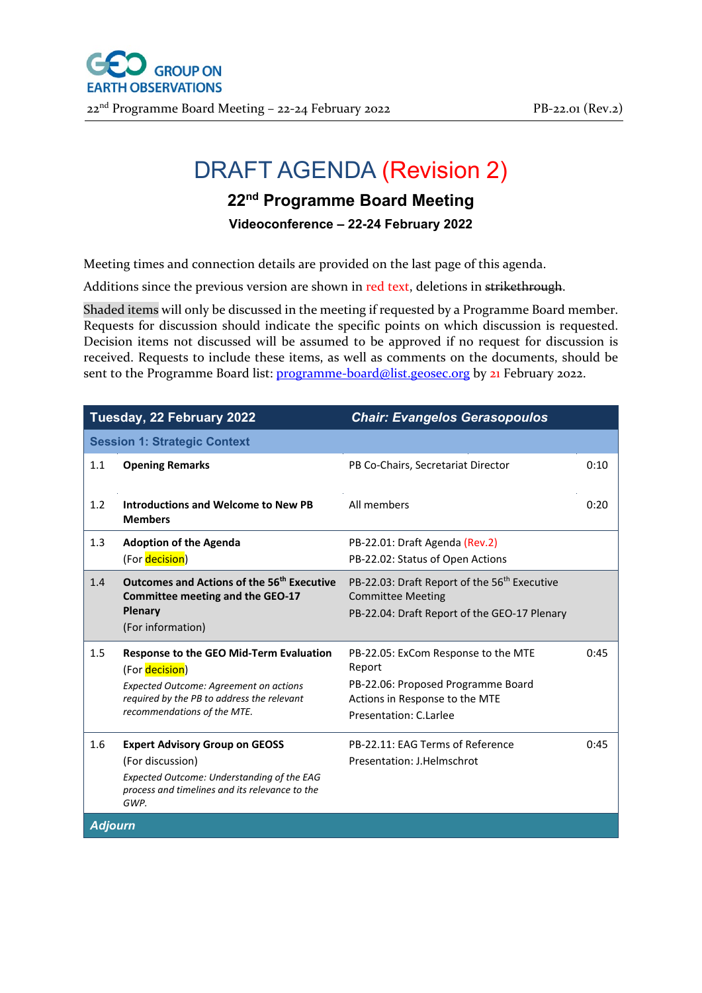

## DRAFT AGENDA (Revision 2)

## **22nd Programme Board Meeting**

**Videoconference – 22-24 February 2022**

Meeting times and connection details are provided on the last page of this agenda.

Additions since the previous version are shown in red text, deletions in strikethrough.

Shaded items will only be discussed in the meeting if requested by a Programme Board member. Requests for discussion should indicate the specific points on which discussion is requested. Decision items not discussed will be assumed to be approved if no request for discussion is received. Requests to include these items, as well as comments on the documents, should be sent to the Programme Board list: [programme-board@list.geosec.org](mailto:programme-board@list.geosec.org) by 21 February 2022.

| Tuesday, 22 February 2022                                                                                                                                                                      | <b>Chair: Evangelos Gerasopoulos</b>                                                                                                            |      |  |  |  |
|------------------------------------------------------------------------------------------------------------------------------------------------------------------------------------------------|-------------------------------------------------------------------------------------------------------------------------------------------------|------|--|--|--|
| <b>Session 1: Strategic Context</b>                                                                                                                                                            |                                                                                                                                                 |      |  |  |  |
| 1.1<br><b>Opening Remarks</b>                                                                                                                                                                  | PB Co-Chairs, Secretariat Director                                                                                                              | 0:10 |  |  |  |
| 1.2<br>Introductions and Welcome to New PB<br><b>Members</b>                                                                                                                                   | All members                                                                                                                                     | 0:20 |  |  |  |
| 1.3<br><b>Adoption of the Agenda</b>                                                                                                                                                           | PB-22.01: Draft Agenda (Rev.2)                                                                                                                  |      |  |  |  |
| (For decision)                                                                                                                                                                                 | PB-22.02: Status of Open Actions                                                                                                                |      |  |  |  |
| Outcomes and Actions of the 56 <sup>th</sup> Executive<br>1.4<br>Committee meeting and the GEO-17<br>Plenary<br>(For information)                                                              | PB-22.03: Draft Report of the 56 <sup>th</sup> Executive<br><b>Committee Meeting</b><br>PB-22.04: Draft Report of the GEO-17 Plenary            |      |  |  |  |
| 1.5<br><b>Response to the GEO Mid-Term Evaluation</b><br>(For decision)<br>Expected Outcome: Agreement on actions<br>required by the PB to address the relevant<br>recommendations of the MTE. | PB-22.05: ExCom Response to the MTE<br>Report<br>PB-22.06: Proposed Programme Board<br>Actions in Response to the MTE<br>Presentation: C.Larlee | 0:45 |  |  |  |
| 1.6<br><b>Expert Advisory Group on GEOSS</b><br>(For discussion)<br>Expected Outcome: Understanding of the EAG<br>process and timelines and its relevance to the<br>GWP.                       | PB-22.11: EAG Terms of Reference<br>Presentation: J.Helmschrot                                                                                  | 0:45 |  |  |  |
| <b>Adjourn</b>                                                                                                                                                                                 |                                                                                                                                                 |      |  |  |  |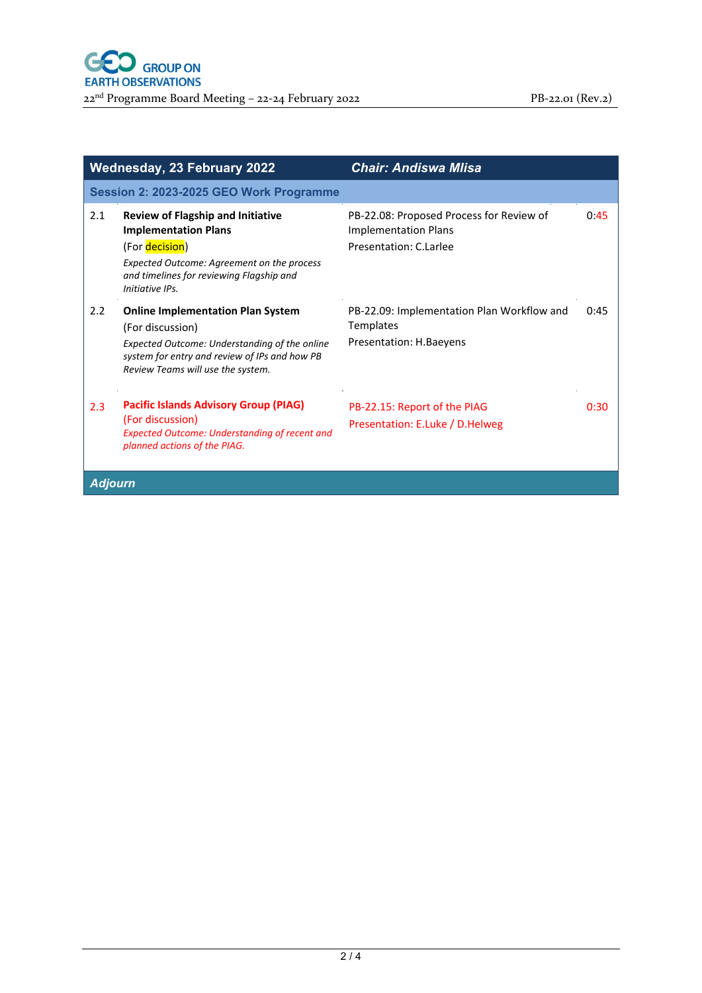|                                         | <b>Wednesday, 23 February 2022</b>                                                                                                                                                                     | <b>Chair: Andiswa Mlisa</b>                                                                       |      |  |
|-----------------------------------------|--------------------------------------------------------------------------------------------------------------------------------------------------------------------------------------------------------|---------------------------------------------------------------------------------------------------|------|--|
| Session 2: 2023-2025 GEO Work Programme |                                                                                                                                                                                                        |                                                                                                   |      |  |
| 2.1                                     | <b>Review of Flagship and Initiative</b><br><b>Implementation Plans</b><br>(For decision)<br>Expected Outcome: Agreement on the process<br>and timelines for reviewing Flagship and<br>Initiative IPs. | PB-22.08: Proposed Process for Review of<br><b>Implementation Plans</b><br>Presentation: C.Larlee | 0.45 |  |
| 2.2                                     | <b>Online Implementation Plan System</b><br>(For discussion)<br>Expected Outcome: Understanding of the online<br>system for entry and review of IPs and how PB<br>Review Teams will use the system.    | PB-22.09: Implementation Plan Workflow and<br>Templates<br>Presentation: H.Baeyens                | 0:45 |  |
| 2.3                                     | <b>Pacific Islands Advisory Group (PIAG)</b><br>(For discussion)<br><b>Expected Outcome: Understanding of recent and</b><br>planned actions of the PIAG.                                               | PB-22.15: Report of the PIAG<br>Presentation: E.Luke / D.Helweg                                   | 0:30 |  |
| <b>Adjourn</b>                          |                                                                                                                                                                                                        |                                                                                                   |      |  |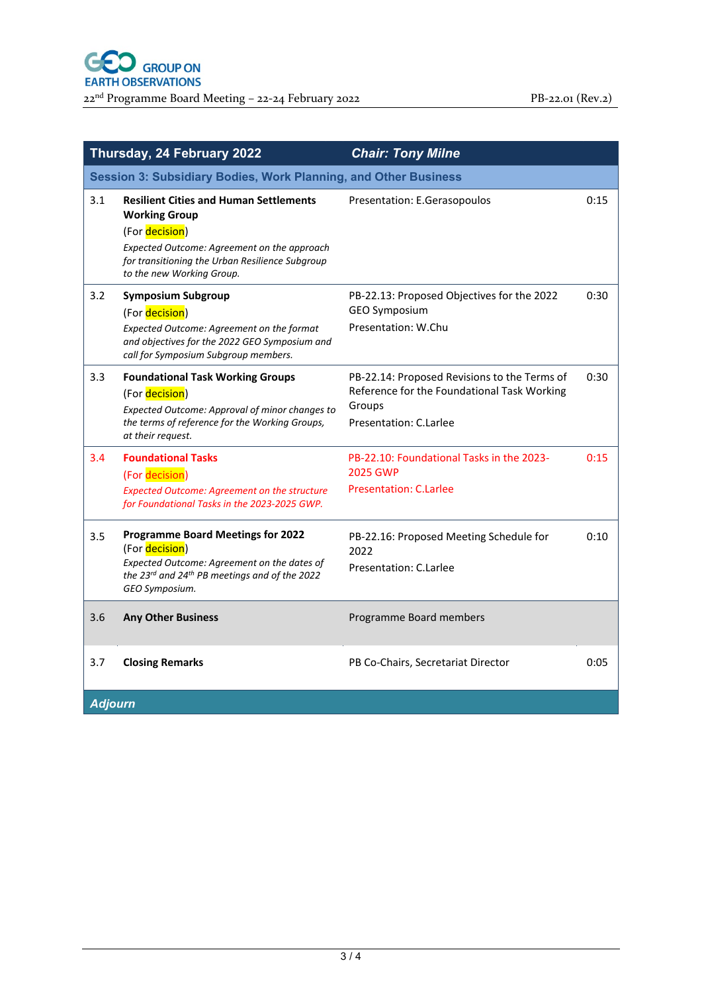|                                                                 | Thursday, 24 February 2022                                                                                                                                                                                             | <b>Chair: Tony Milne</b>                                                                                                        |      |  |
|-----------------------------------------------------------------|------------------------------------------------------------------------------------------------------------------------------------------------------------------------------------------------------------------------|---------------------------------------------------------------------------------------------------------------------------------|------|--|
| Session 3: Subsidiary Bodies, Work Planning, and Other Business |                                                                                                                                                                                                                        |                                                                                                                                 |      |  |
| 3.1                                                             | <b>Resilient Cities and Human Settlements</b><br><b>Working Group</b><br>(For decision)<br>Expected Outcome: Agreement on the approach<br>for transitioning the Urban Resilience Subgroup<br>to the new Working Group. | Presentation: E.Gerasopoulos                                                                                                    | 0:15 |  |
| 3.2                                                             | <b>Symposium Subgroup</b><br>(For decision)<br>Expected Outcome: Agreement on the format<br>and objectives for the 2022 GEO Symposium and<br>call for Symposium Subgroup members.                                      | PB-22.13: Proposed Objectives for the 2022<br><b>GEO Symposium</b><br>Presentation: W.Chu                                       | 0:30 |  |
| 3.3                                                             | <b>Foundational Task Working Groups</b><br>(For decision)<br>Expected Outcome: Approval of minor changes to<br>the terms of reference for the Working Groups,<br>at their request.                                     | PB-22.14: Proposed Revisions to the Terms of<br>Reference for the Foundational Task Working<br>Groups<br>Presentation: C.Larlee | 0:30 |  |
| 3.4                                                             | <b>Foundational Tasks</b><br>(For decision)<br><b>Expected Outcome: Agreement on the structure</b><br>for Foundational Tasks in the 2023-2025 GWP.                                                                     | PB-22.10: Foundational Tasks in the 2023-<br><b>2025 GWP</b><br><b>Presentation: C.Larlee</b>                                   | 0:15 |  |
| 3.5                                                             | <b>Programme Board Meetings for 2022</b><br>(For decision)<br>Expected Outcome: Agreement on the dates of<br>the 23rd and 24 <sup>th</sup> PB meetings and of the 2022<br>GEO Symposium.                               | PB-22.16: Proposed Meeting Schedule for<br>2022<br>Presentation: C.Larlee                                                       | 0:10 |  |
| 3.6                                                             | <b>Any Other Business</b>                                                                                                                                                                                              | Programme Board members                                                                                                         |      |  |
| 3.7                                                             | <b>Closing Remarks</b>                                                                                                                                                                                                 | PB Co-Chairs, Secretariat Director                                                                                              | 0:05 |  |
| <b>Adjourn</b>                                                  |                                                                                                                                                                                                                        |                                                                                                                                 |      |  |